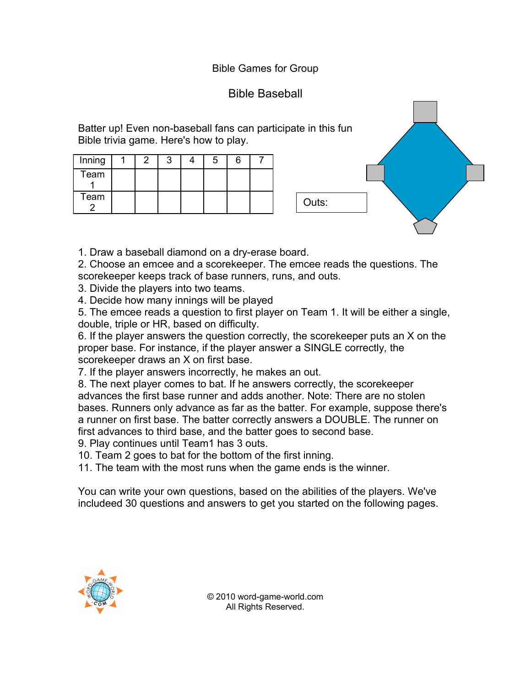## Bible Games for Group

## Bible Baseball

Batter up! Even non-baseball fans can participate in this fun Bible trivia game. Here's how to play.

| Inning |  |  |  |  |
|--------|--|--|--|--|
| Team   |  |  |  |  |
| Team   |  |  |  |  |



1. Draw a baseball diamond on a dry-erase board.

2. Choose an emcee and a scorekeeper. The emcee reads the questions. The scorekeeper keeps track of base runners, runs, and outs.

3. Divide the players into two teams.

4. Decide how many innings will be played

5. The emcee reads a question to first player on Team 1. It will be either a single, double, triple or HR, based on difficulty.

6. If the player answers the question correctly, the scorekeeper puts an X on the proper base. For instance, if the player answer a SINGLE correctly, the scorekeeper draws an X on first base.

7. If the player answers incorrectly, he makes an out.

8. The next player comes to bat. If he answers correctly, the scorekeeper advances the first base runner and adds another. Note: There are no stolen bases. Runners only advance as far as the batter. For example, suppose there's a runner on first base. The batter correctly answers a DOUBLE. The runner on first advances to third base, and the batter goes to second base.

9. Play continues until Team1 has 3 outs.

10. Team 2 goes to bat for the bottom of the first inning.

11. The team with the most runs when the game ends is the winner.

You can write your own questions, based on the abilities of the players. We've includeed 30 questions and answers to get you started on the following pages.



© 2010 word-game-world.com All Rights Reserved.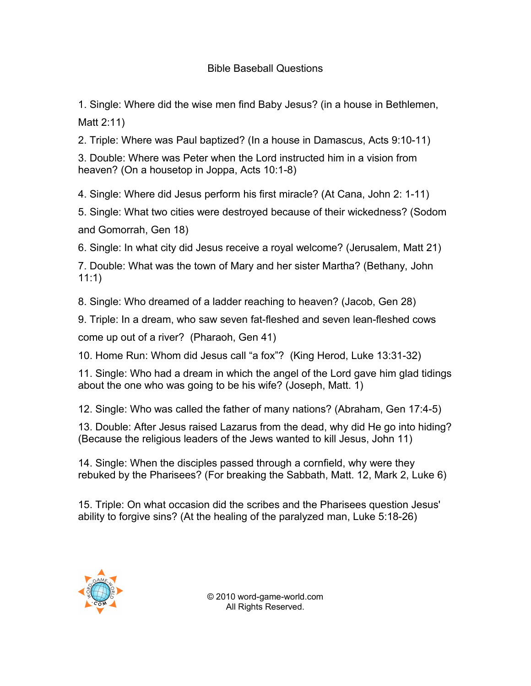## Bible Baseball Questions

1. Single: Where did the wise men find Baby Jesus? (in a house in Bethlemen, Matt 2:11)

2. Triple: Where was Paul baptized? (In a house in Damascus, Acts 9:10-11)

3. Double: Where was Peter when the Lord instructed him in a vision from heaven? (On a housetop in Joppa, Acts 10:1-8)

4. Single: Where did Jesus perform his first miracle? (At Cana, John 2: 1-11)

5. Single: What two cities were destroyed because of their wickedness? (Sodom and Gomorrah, Gen 18)

6. Single: In what city did Jesus receive a royal welcome? (Jerusalem, Matt 21)

7. Double: What was the town of Mary and her sister Martha? (Bethany, John 11:1)

8. Single: Who dreamed of a ladder reaching to heaven? (Jacob, Gen 28)

9. Triple: In a dream, who saw seven fat-fleshed and seven lean-fleshed cows

come up out of a river? (Pharaoh, Gen 41)

10. Home Run: Whom did Jesus call "a fox"? (King Herod, Luke 13:31-32)

11. Single: Who had a dream in which the angel of the Lord gave him glad tidings about the one who was going to be his wife? (Joseph, Matt. 1)

12. Single: Who was called the father of many nations? (Abraham, Gen 17:4-5)

13. Double: After Jesus raised Lazarus from the dead, why did He go into hiding? (Because the religious leaders of the Jews wanted to kill Jesus, John 11)

14. Single: When the disciples passed through a cornfield, why were they rebuked by the Pharisees? (For breaking the Sabbath, Matt. 12, Mark 2, Luke 6)

15. Triple: On what occasion did the scribes and the Pharisees question Jesus' ability to forgive sins? (At the healing of the paralyzed man, Luke 5:18-26)